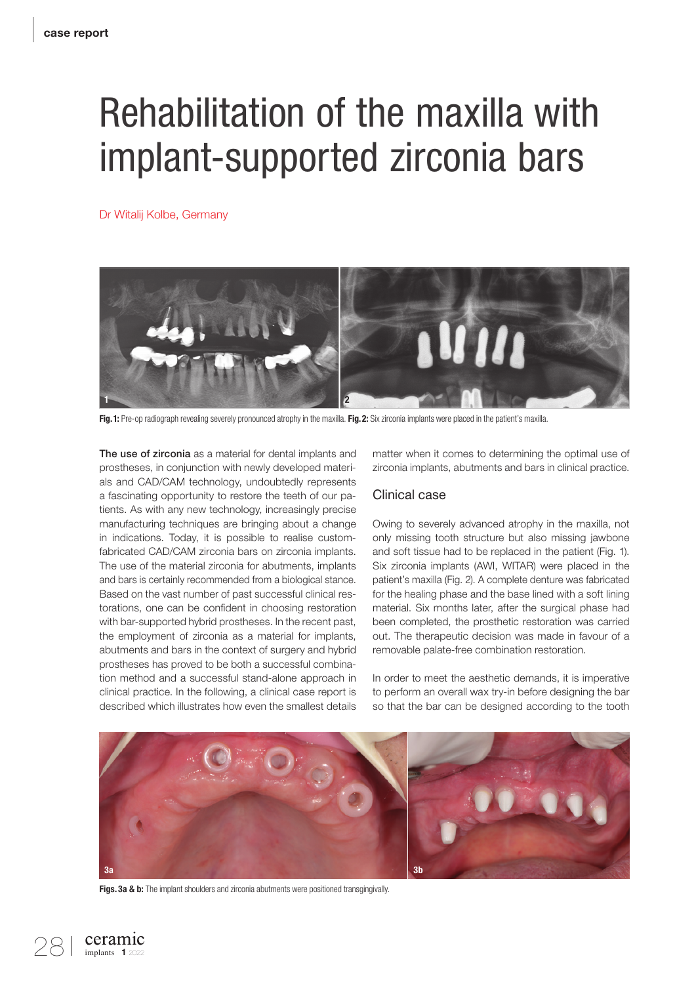# Rehabilitation of the maxilla with implant-supported zirconia bars

Dr Witalij Kolbe, Germany



Fig.1: Pre-op radiograph revealing severely pronounced atrophy in the maxilla. Fig.2: Six zirconia implants were placed in the patient's maxilla.

The use of zirconia as a material for dental implants and prostheses, in conjunction with newly developed materials and CAD/CAM technology, undoubtedly represents a fascinating opportunity to restore the teeth of our patients. As with any new technology, increasingly precise manufacturing techniques are bringing about a change in indications. Today, it is possible to realise customfabricated CAD/CAM zirconia bars on zirconia implants. The use of the material zirconia for abutments, implants and bars is certainly recommended from a biological stance. Based on the vast number of past successful clinical restorations, one can be confident in choosing restoration with bar-supported hybrid prostheses. In the recent past, the employment of zirconia as a material for implants, abutments and bars in the context of surgery and hybrid prostheses has proved to be both a successful combination method and a successful stand-alone approach in clinical practice. In the following, a clinical case report is described which illustrates how even the smallest details

matter when it comes to determining the optimal use of zirconia implants, abutments and bars in clinical practice.

### Clinical case

Owing to severely advanced atrophy in the maxilla, not only missing tooth structure but also missing jawbone and soft tissue had to be replaced in the patient (Fig. 1). Six zirconia implants (AWI, WITAR) were placed in the patient's maxilla (Fig. 2). A complete denture was fabricated for the healing phase and the base lined with a soft lining material. Six months later, after the surgical phase had been completed, the prosthetic restoration was carried out. The therapeutic decision was made in favour of a removable palate-free combination restoration.

In order to meet the aesthetic demands, it is imperative to perform an overall wax try-in before designing the bar so that the bar can be designed according to the tooth



Figs. 3a & b: The implant shoulders and zirconia abutments were positioned transgingivally.